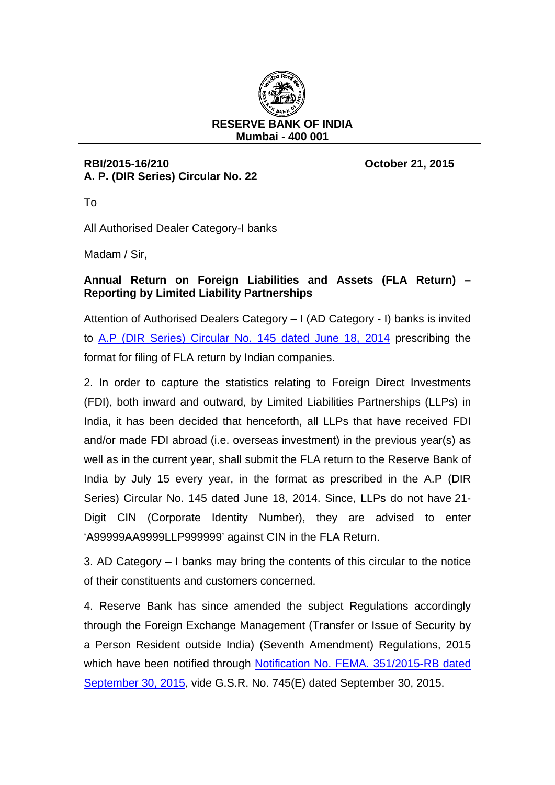

## **RBI/2015-16/210 October 21, 2015 A. P. (DIR Series) Circular No. 22**

To

All Authorised Dealer Category-I banks

Madam / Sir,

## **Annual Return on Foreign Liabilities and Assets (FLA Return) – Reporting by Limited Liability Partnerships**

Attention of Authorised Dealers Category – I (AD Category - I) banks is invited to [A.P \(DIR Series\) Circular No. 145 dated June 18, 2014](https://rbi.org.in/Scripts/NotificationUser.aspx?Id=8945&Mode=0) prescribing the format for filing of FLA return by Indian companies.

2. In order to capture the statistics relating to Foreign Direct Investments (FDI), both inward and outward, by Limited Liabilities Partnerships (LLPs) in India, it has been decided that henceforth, all LLPs that have received FDI and/or made FDI abroad (i.e. overseas investment) in the previous year(s) as well as in the current year, shall submit the FLA return to the Reserve Bank of India by July 15 every year, in the format as prescribed in the A.P (DIR Series) Circular No. 145 dated June 18, 2014. Since, LLPs do not have 21- Digit CIN (Corporate Identity Number), they are advised to enter 'A99999AA9999LLP999999' against CIN in the FLA Return.

3. AD Category – I banks may bring the contents of this circular to the notice of their constituents and customers concerned.

4. Reserve Bank has since amended the subject Regulations accordingly through the Foreign Exchange Management (Transfer or Issue of Security by a Person Resident outside India) (Seventh Amendment) Regulations, 2015 which have been notified through [Notification No. FEMA.](https://rbi.org.in/Scripts/NotificationUser.aspx?Id=10061&Mode=0) 351/2015-RB dated [September 30, 2015,](https://rbi.org.in/Scripts/NotificationUser.aspx?Id=10061&Mode=0) vide G.S.R. No. 745(E) dated September 30, 2015.